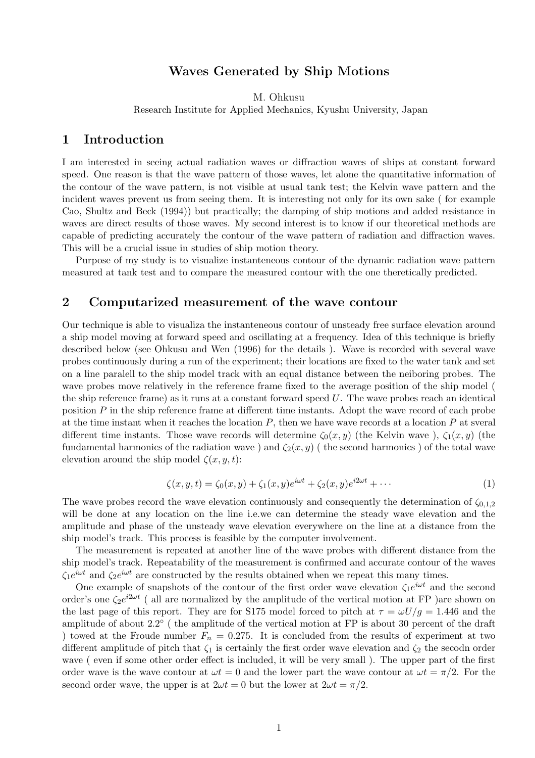# Waves Generated by Ship Motions **ated by Sh**:<br>M. Ohkusu<br>ed Mechanics K

M. Ohkusu<br>Research Institute for Applied Mechanics, Kyushu University, Japan

## 1 Introduction

I **Introduction**<br>I am interested in seeing actual radiation waves or diffraction waves of ships at constant forward<br>speed. One reason is that the wave pattern of these waves let alone the quantitative information of I am interested in seeing actual radiation waves or diffraction waves of ships at constant forward<br>speed. One reason is that the wave pattern of those waves, let alone the quantitative information of<br>the contour of the wav speed. One reason is that the wave pattern of those waves, let alone the quantitative information of the contour of the wave pattern, is not visible at usual tank test; the Kelvin wave pattern and the incident waves preven the contour of the wave pattern, is not visible at usual tank test; the Kelvin wave pattern and the the contour of the wave pattern, is not visible at usual tank test; the Kelvin wave pattern and the<br>incident waves prevent us from seeing them. It is interesting not only for its own sake (for example<br>Cao, Shultz and Beck incident waves prevent us from seeing them. It is interesting not only for its own sake ( for example Cao, Shultz and Beck (1994)) but practically; the damping of ship motions and added resistance in waves are direct resul waves are direct results of those waves. My second interest is to know if our theoretical methods are capable of predicting accurately the contour of the wave pattern of radiation and diffraction waves. This will be a cruc capable of predicting accurately the contour of the wave pattern of radiation and diffraction waves. able of predicting accurately the contour of the wave pattern of radiation and diffraction waves.<br>is will be a crucial issue in studies of ship motion theory.<br>Purpose of my study is to visualize instanteneous contour of th

This will be a crucial issue in studies of ship motion theory.<br>Purpose of my study is to visualize instanteneous contour of the dynamic radiation wave patte<br>measured at tank test and to compare the measured contour with th measured at tank test and to compare the measured contour with the one theretically predicted.<br>2 Computarized measurement of the wave contour

**2** Computarized measurement of the wave contour<br>Our technique is able to visualiza the instanteneous contour of unsteady free surface elevation around<br>a ship model moving at forward speed and oscillating at a frequency. Our technique is able to visualiza the instanteneous contour of unsteady free surface elevation around<br>a ship model moving at forward speed and oscillating at a frequency. Idea of this technique is briefly<br>described below Our technique is able to visualiza the instanteneous contour of unsteady free surface elevation around<br>a ship model moving at forward speed and oscillating at a frequency. Idea of this technique is briefly<br>described below a ship model moving at forward speed and oscillating at a frequency. Idea of this technique is briefly<br>described below (see Ohkusu and Wen (1996) for the details ). Wave is recorded with several wave<br>probes continuously du described below (see Ohkusu and Wen (1996) for the details ). Wave is recorded with several wave<br>probes continuously during a run of the experiment; their locations are fixed to the water tank and set<br>on a line paralell to probes continuously during a run of the experiment; their locations are fixed to the water tank and set<br>on a line paralell to the ship model track with an equal distance between the neiboring probes. The<br>wave probes move on a line paralell to the ship model track with an equal distance between the neiboring probes. The wave probes move relatively in the reference frame fixed to the average position of the ship model (<br>the ship reference f wave probes move relatively in the reference frame fixed to the average position of the ship model (<br>the ship reference frame) as it runs at a constant forward speed U. The wave probes reach an identical<br>position P in the the ship reference frame) as it runs at a constant forward speed U. The wave probes reach an identical<br>position P in the ship reference frame at different time instants. Adopt the wave record of each probe<br>at the time ins position P in the ship reference frame at different time instants. Adopt the wave record of each probe<br>at the time instant when it reaches the location P, then we have wave records at a location P at sveral<br>different time at the time instant when it reaches the location P, then we have wave records at a location P at sveral<br>different time instants. Those wave records will determine  $\zeta_0(x, y)$  (the Kelvin wave),  $\zeta_1(x, y)$  (the<br>fundamenta different time instants. Those wave records<br>fundamental harmonics of the radiation wave<br>elevation around the ship model  $\zeta(x, y, t)$ :

$$
\text{up model } \zeta(x, y, t):
$$
\n
$$
\zeta(x, y, t) = \zeta_0(x, y) + \zeta_1(x, y)e^{i\omega t} + \zeta_2(x, y)e^{i2\omega t} + \dots \tag{1}
$$

 $\zeta(x, y, t) = \zeta_0(x, y) + \zeta_1(x, y)e^{i\omega t} + \zeta_2(x, y)e^{i2\omega t} + \cdots$  (1)<br>The wave probes record the wave elevation continuously and consequently the determination of  $\zeta_{0,1,2}$ <br>will be done at any location on the line i.e. we can The wave probes record the wave elevation continuously and consequently the determination of  $\zeta_{0,1,2}$ <br>will be done at any location on the line i.e.we can determine the steady wave elevation and the<br>annulitude and phas The wave probes record the wave elevation continuously and consequently the determination of  $\zeta_{0,1,2}$  will be done at any location on the line i.e.we can determine the steady wave elevation and the amplitude and phase will be done at any location on the line i.e.we can determine the stead.<br>amplitude and phase of the unsteady wave elevation everywhere on the listip model's track. This process is feasible by the computer involvement.<br>The ship model's track. This process is feasible by the computer involvement.<br>The measurement is repeated at another line of the wave probes with different distance from the

ship model's track. Repeatability of the measurement is confirmed and accurate contour of the waves The measurement is repeated at another line of the wave probes with different distance<br>ship model's track. Repeatability of the measurement is confirmed and accurate contour of t<br> $\zeta_1 e^{i\omega t}$  and  $\zeta_2 e^{i\omega t}$  are cons p model's track. Repeatability of the measurement is confirmed and accurate contour<br>  $\dot{w}$  and  $\zeta_2 e^{i\omega t}$  are constructed by the results obtained when we repeat this many ti<br>
One example of snapshots of the contour intour of the waves<br>y times.<br> $i\omega t$  and the second<br>FP ) are shown on

order's one  $\zeta_2 e^{i2\omega t}$  (all are normalized by the amplitude of the vertical motion at FP ) are shown on <sup>20</sup> are constructed by the results obtained when we repeat this many times.<br>le of snapshots of the contour of the first order wave elevation  $\zeta_1 e^{i\omega t}$  and the second<br> $i^{2\omega t}$  ( all are normalized by the amplitude o One example of snapshots of the contour of the first order wave elevation  $\zeta_1 e^{i\omega t}$  and the second<br>order's one  $\zeta_2 e^{i2\omega t}$  (all are normalized by the amplitude of the vertical motion at FP ) are shown on<br>the last order's one  $\zeta_2 e^{i2\omega t}$  (all are normalized by the amplitude of the vertical motion at FP ) are shown on<br>the last page of this report. They are for S175 model forced to pitch at  $\tau = \omega U/g = 1.446$  and the<br>amplitude of a amplitude of about  $2.2^{\circ}$  (the amplitude of the vertical motion at FP is about 30 percent of the draft ) towed at the Froude number  $F_n = 0.275$ . It is concluded from the results of experiment at two<br>different amplitude of pitch that  $\zeta_1$  is certainly the first order wave elevation and  $\zeta_2$  the secodn order<br>wave (even different amplitude of pitch that  $\zeta_1$  is certainly the first order wave elevation and  $\zeta_2$  the secodn order different amplitude of pitch that  $\zeta_1$  is certainly the first order wave elevation and  $\zeta_2$  the secode order<br>wave (even if some other order effect is included, it will be very small). The upper part of the first<br>ord wave (even if some other order effect is included, it will be very small).<br>
order wave is the wave contour at  $\omega t = 0$  and the lower part the wave co<br>
second order wave, the upper is at  $2\omega t = 0$  but the lower at  $2\omega t = \pi$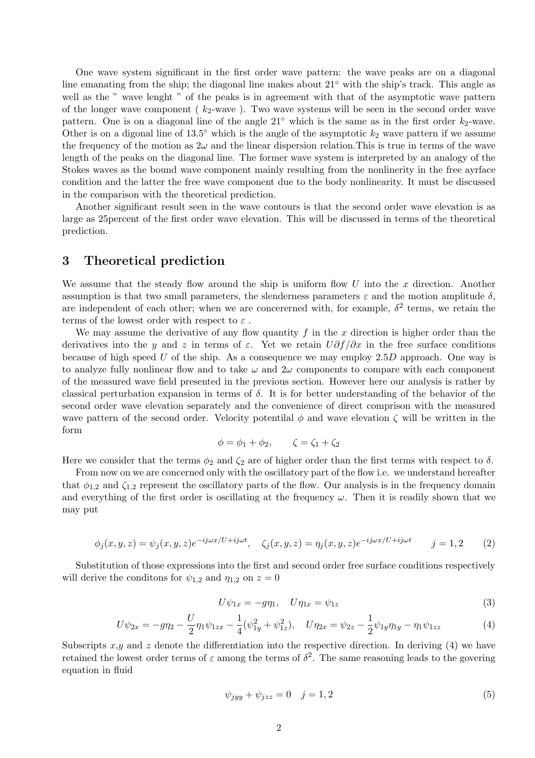One wave system significant in the first order wave pattern: the wave peaks are on a diagonal One wave system significant in the first order wave pattern: the wave peaks are on a diagonal line emanating from the ship; the diagonal line makes about  $21°$  with the ship's track. This angle as well as the " wave lengt One wave system significant in the first order wave pattern: the wave peaks are on a diagonal<br>line emanating from the ship; the diagonal line makes about  $21^{\circ}$  with the ship's track. This angle as<br>well as the " wave le well as the " wave lenght " of the peaks is in agreement with that of the asymptotic wave pattern<br>of the longer wave component ( $k_2$ -wave). Two wave systems will be seen in the second order wave well as the " wave lenght " of the peaks is in agreement with that of the asymptotic wave pattern<br>of the longer wave component ( $k_2$ -wave). Two wave systems will be seen in the second order wave<br>pattern. One is on a diag of the longer wave component ( $k_2$ -wave). Two wave systems will be seen in the second order wave<br>pattern. One is on a diagonal line of the angle 21° which is the same as in the first order  $k_2$ -wave.<br>Other is on a digon Other is on a digonal line of 13.5° which is the angle of the asymptotic  $k_2$  wave pattern if we assume the frequency of the motion as  $2\omega$  and the linear dispersion relation. This is true in terms of the wave Other is on a digonal line of 13.5° which is the angle of the asymptotic  $k_2$  wave pattern if we assume<br>the frequency of the motion as  $2\omega$  and the linear dispersion relation. This is true in terms of the wave<br>length of the trequency of the motion as  $2\omega$  and the linear dispersion relation. This is true in terms of the wave<br>length of the peaks on the diagonal line. The former wave system is interpreted by an analogy of the<br>Stokes waves length of the peaks on the diagonal line. The former wave system is interpreted by an analogy of the<br>Stokes waves as the bound wave component mainly resulting from the nonlinearity in the free ayrface<br>condition and the lat Stokes waves as the bound wave component mainly<br>condition and the latter the free wave component d<br>in the comparison with the theoretical prediction.<br>Another significant result seen in the wave content in the comparison with the theoretical prediction.<br>Another significant result seen in the wave contours is that the second order wave elevation is as

large as 25percent of the first order wave elevation. This will be discussed in terms of the theoretical prediction.

## 3 Theoretical prediction

We assume that the steady flow around the ship is uniform flow U into the x direction. Another assumption is that two small parameters, the slenderness parameters  $\varepsilon$  and the motion amplitude  $\delta$ , We assume that the steady flow around the ship is uniform flow U into the x direction. Another assumption is that two small parameters, the slenderness parameters  $\varepsilon$  and the motion amplitude  $\delta$ , are independent of ea assumption is that two small parameters, the slenderness parameters  $\varepsilon$  and the motion amplitude  $\delta$ ,<br>are independent of each other; when we are concererned with, for example,  $\delta^2$  terms, we retain the<br>terms of the l

terms of the lowest order with respect to  $\varepsilon$ .<br>We may assume the derivative of any flow quantity f in the x direction is higher order than the derivatives into the y and z in terms of  $\varepsilon$ . Yet we retain  $U \partial f / \partial x$  in because of high speed U of the ship. As a consequence we may employ  $2.5D$  approach. One way is derivatives into the y and z in terms of  $\varepsilon$ . Yet we retain  $U \partial f / \partial x$  in the free surface conditions<br>because of high speed U of the ship. As a consequence we may employ 2.5D approach. One way is<br>to analyze fully nonlin because of high speed U of the ship. As a consequence we may employ 2.5D approach. One way is<br>to analyze fully nonlinear flow and to take  $\omega$  and  $2\omega$  components to compare with each component<br>of the measured wave field to analyze fully nonlinear flow and to take  $ω$  and  $2ω$  components to compare with each component of the measured wave field presented in the previous section. However here our analysis is rather by classical perturbati of the measured wave held presented in the previous section. However here our analysis is rather by classical perturbation expansion in terms of  $\delta$ . It is for better understanding of the behavior of the second order wav classical perturbation expansion in terms of  $\delta$ . It is for better understanding of the behavior of the second order wave elevation separately and the convenience of direct comprison with the measured wave pattern of the form  $\psi$ elocity potentilal  $\phi$  and wave  $\phi = \phi_1 + \phi_2, \quad \zeta = \zeta_1 + \zeta_2$ 

$$
\phi = \phi_1 + \phi_2, \qquad \zeta = \zeta_1 + \zeta_2
$$

Here we consider that the terms  $\phi_2$  and  $\zeta_2$  are of higher order than the first terms with respect to  $\delta$ .

From now on we are concerned only with the oscillatory part of the flow i.e. we understand hereafter that  $\phi_{1,2}$  and  $\zeta_{1,2}$  represent the oscillatory parts of the flow. Our analysis is in the frequency domain and everything of the first order is oscillating at the frequency  $\omega$ . Then it is readily shown that we m and everything of the first order is oscillating at the frequency  $\omega$ . Then it is readily shown that we

$$
\phi_j(x, y, z) = \psi_j(x, y, z)e^{-ij\omega x/U + ij\omega t}, \quad \zeta_j(x, y, z) = \eta_j(x, y, z)e^{-ij\omega x/U + ij\omega t} \qquad j = 1, 2 \tag{2}
$$

 $\phi_j(x, y, z) = \psi_j(x, y, z)e^{-ij\omega x/U + iy\omega t}$ ,  $\zeta_j(x, y, z) = \eta_j(x, y, z)e^{-ij\omega x/U + iy\omega t}$   $j = 1, 2$  (2)<br>Substitution of those expressions into the first and second order free surface conditions respectively Substitution of those expressions into the first and se<br>will derive the conditons for  $\psi_{1,2}$  and  $\eta_{1,2}$  on  $z = 0$ 

$$
d \eta_{1,2} \text{ on } z = 0
$$
  

$$
U\psi_{1x} = -g\eta_1, \quad U\eta_{1x} = \psi_{1z}
$$
 (3)

$$
U\psi_{1x} = -g\eta_1, \quad U\eta_{1x} = \psi_{1z}
$$
(3)  

$$
U\psi_{2x} = -g\eta_2 - \frac{U}{2}\eta_1\psi_{1zx} - \frac{1}{4}(\psi_{1y}^2 + \psi_{1z}^2), \quad U\eta_{2x} = \psi_{2z} - \frac{1}{2}\psi_{1y}\eta_{1y} - \eta_1\psi_{1zz}
$$
(4)  
Subscripts  $x, y$  and  $z$  denote the differentiation into the respective direction. In deriving (4) we have

Subscripts  $x, y$  and  $z$  denote the differentiation into the resp<br>retained the lowest order terms of  $\varepsilon$  among the terms of  $\delta^2$ .  $2<sub>7</sub>$  $\frac{2}{3}$  spective direction. In deriving (4) we have<br>The same reasoning leads to the govering Subscripts  $x, y$  and z<br>retained the lowest c<br>equation in fluid

$$
\psi_{jyy} + \psi_{jzz} = 0 \quad j = 1,2
$$
\n<sup>(5)</sup>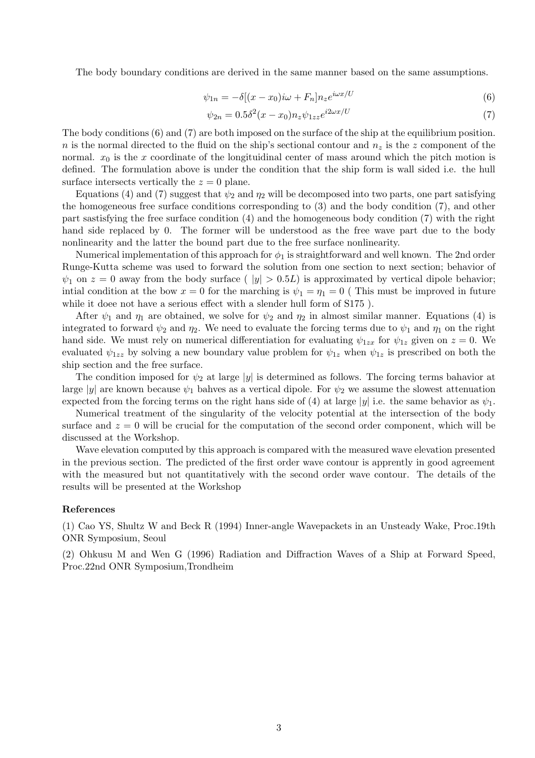The body boundary conditions are derived in the same manner based on the same assumptions.

$$
\psi_{1n} = -\delta[(x - x_0)i\omega + F_n]n_z e^{i\omega x/U}
$$
\n
$$
\psi_{2n} = 0.5\delta^2(x - x_0)n_z \psi_{1zz} e^{i2\omega x/U}
$$
\n(7)

$$
\psi_{2n} = 0.5\delta^2(x - x_0)n_z \psi_{1zz} e^{i2\omega x/U}
$$
\n(7)

The body conditions (6) and (7) are both imposed on the surface of the ship at the equilibrium position. n is the normal directed to the fluid on the ship's sectional contour and  $n_z$  is the z component of the normal.  $x_0$  is the x coordinate of the longituidinal center of mass around which the pitch motion is *n* is the normal directed to the fluid on the ship's sectional contour and  $n_z$  is the *z* component of the normal.  $x_0$  is the *x* coordinate of the longituidinal center of mass around which the pitch motion is defined normal.  $x_0$  is the x coordinate of the longitudefined. The formulation above is under the surface intersects vertically the  $z = 0$  plane.<br>Equations (4) and (7) suggest that  $\psi_0$  and a surface intersects vertically the  $z = 0$  plane.<br>Equations (4) and (7) suggest that  $\psi_2$  and  $\eta_2$  will be decomposed into two parts, one part satisfying

surface intersects vertically the  $z = 0$  plane.<br>Equations (4) and (7) suggest that  $\psi_2$  and  $\eta_2$  will be decomposed into two parts, one part satisfying<br>the homogeneous free surface condition (4) and the homogeneous bo Equations (4) and (7) suggest that  $\psi_2$  and  $\eta_2$  will be decomposed into two parts, one part satisfying<br>the homogeneous free surface conditions corresponding to (3) and the body condition (7), and other<br>part sastisfyi the homogeneous free surface conditions corresponding to  $(3)$  and the body condition  $(7)$ , and other<br>part sastisfying the free surface condition  $(4)$  and the homogeneous body condition  $(7)$  with the right<br>hand side re part sastisfying the free surface condition (4) and the homogeneous body conditional<br>hand side replaced by 0. The former will be understood as the free wave particularly.<br>nonlinearity and the latter the bound part due to Numerical implementation of this approach for  $\phi_1$  is straightforward and well known. The 2nd order none-Kutta scheme was used to forward the solution from one section to next section; behavior of

nonlinearity and the latter the bound part due to the free surface nonlinearity.<br>Numerical implementation of this approach for  $\phi_1$  is straightforward and well known. The 2nd order<br>Runge-Kutta scheme was used to forward Runge-Kutta scheme was used to forward the solution from one section to next section; behavior of  $\psi_1$  on  $z = 0$  away from the body surface (  $|y| > 0.5L$ ) is approximated by vertical dipole behavior; Runge-Kutta scheme was used to forward the solution from one section to next section; behavior of  $\psi_1$  on  $z = 0$  away from the body surface  $(|y| > 0.5L)$  is approximated by vertical dipole behavior; intial condition at t  $\psi_1$  on  $z = 0$  away from the body surface ( $|y| > 0.5L$ ) is approximated by initial condition at the bow  $x = 0$  for the marching is  $\psi_1 = \eta_1 = 0$  (This must while it does not have a serious effect with a slender hull fo

while it doee not have a serious effect with a slender hull form of S175 ).<br>After  $\psi_1$  and  $\eta_1$  are obtained, we solve for  $\psi_2$  and  $\eta_2$  in almost similar manner. Equations (4) is while it doee not have a serious effect with a slender hull form of S175).<br>
After  $\psi_1$  and  $\eta_1$  are obtained, we solve for  $\psi_2$  and  $\eta_2$  in almost similar manner. Equations (4) is<br>
integrated to forward  $\psi_2$  and After  $ψ_1$  and  $η_1$  are obtained, we solve for  $ψ_2$  and  $η_2$  in almost similar manner. Equations (4) is integrated to forward  $ψ_2$  and  $η_2$ . We need to evaluate the forcing terms due to  $ψ_1$  and  $η_1$  on the right hand side. We must rely on numerical differentiation for evaluating  $\psi_{1zx}$  for  $\psi_{1z}$  given on  $z = 0$ . We evaluated  $\psi_{1zz}$  by solving a new boundary value problem for  $\psi_{1z}$  when  $\psi_{1z}$  is prescribed on both the evaluated  $\psi_{1zz}$  by solving a new boundary value problem for  $\psi_{1z}$  when  $\psi_{1z}$  is prescribed on both the

The condition imposed for  $\psi_2$  at large |y| is determined as follows. The forcing terms bahavior at ship section and the free surface.<br>The condition imposed for  $\psi_2$  at large  $|y|$  is determined as follows. The forcing terms bahavior at large  $|y|$  are known because  $\psi_1$  bahves as a vertical dipole. For  $\psi_2$  we as The condition imposed for  $\psi_2$  at large  $|y|$  is determined as follows. The forcing terms bahavior at large  $|y|$  are known because  $\psi_1$  bahves as a vertical dipole. For  $\psi_2$  we assume the slowest attenuation expect

expected from the forcing terms on the right hans side of (4) at large  $|y|$  i.e. the same behavior as  $\psi_1$ .<br>Numerical treatment of the singularity of the velocity potential at the intersection of the body surface and discussed at the Workshop. face and  $z = 0$  will be crucial for the computation of the second order component, which will be<br>cussed at the Workshop.<br>Wave elevation computed by this approach is compared with the measured wave elevation presented<br>the

discussed at the Workshop.<br>Wave elevation computed by this approach is compared with the measured wave elevation presented<br>in the previous section. The predicted of the first order wave contour is apprently in good agreeme Wave elevation computed by this approach is compared with the measured wave elevation presented<br>in the previous section. The predicted of the first order wave contour is apprently in good agreement<br>with the measured but no in the previous section. The predicted of the<br>with the measured but not quantitatively with<br>results will be presented at the Workshop

### References

References<br>(1) Cao YS, Shultz W and Beck R (1994) Inner-angle Wavepackets in an Unsteady Wake, Proc.19th<br>ONB Symposium, Socul (1) Cao YS, Shultz W and<br>ONR Symposium, Seoul

(1) Oas 15, Shanz W and Beek R (1551) filmer angle Wavepackets in an ensteady Wake, I focus in<br>ONR Symposium, Seoul<br>(2) Ohkusu M and Wen G (1996) Radiation and Diffraction Waves of a Ship at Forward Speed, (2) Ohkusu M and Wen G (1996) Radiation<br>Proc.22nd ONR Symposium,Trondheim